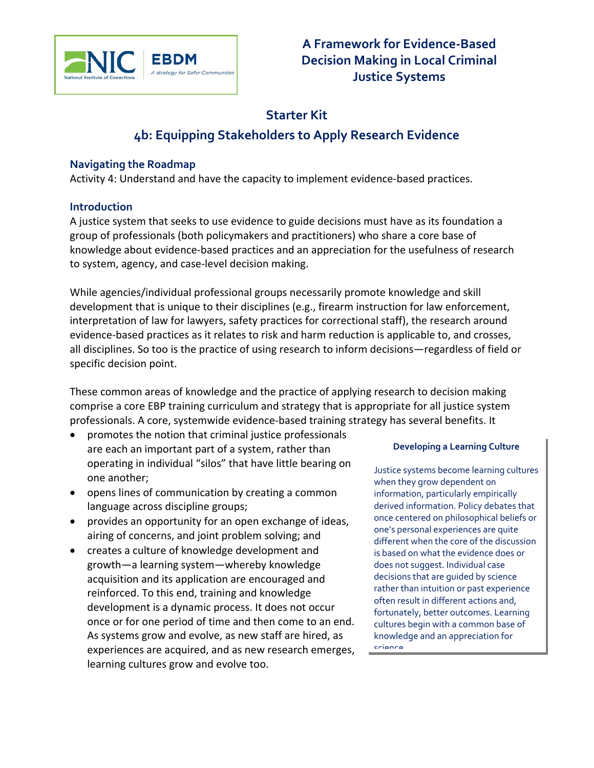

### **Starter Kit**

## **4b: Equipping Stakeholders to Apply Research Evidence**

#### **Navigating the Roadmap**

Activity 4: Understand and have the capacity to implement evidence-based practices.

#### **Introduction**

A justice system that seeks to use evidence to guide decisions must have as its foundation a group of professionals (both policymakers and practitioners) who share a core base of knowledge about evidence-based practices and an appreciation for the usefulness of research to system, agency, and case-level decision making.

While agencies/individual professional groups necessarily promote knowledge and skill development that is unique to their disciplines (e.g., firearm instruction for law enforcement, interpretation of law for lawyers, safety practices for correctional staff), the research around evidence-based practices as it relates to risk and harm reduction is applicable to, and crosses, all disciplines. So too is the practice of using research to inform decisions—regardless of field or specific decision point.

These common areas of knowledge and the practice of applying research to decision making comprise a core EBP training curriculum and strategy that is appropriate for all justice system professionals. A core, systemwide evidence-based training strategy has several benefits. It

- promotes the notion that criminal justice professionals are each an important part of a system, rather than operating in individual "silos" that have little bearing on one another;
- opens lines of communication by creating a common language across discipline groups;
- provides an opportunity for an open exchange of ideas, airing of concerns, and joint problem solving; and
- <span id="page-0-0"></span>• creates a culture of knowledge development and growth—a learning system—whereby knowledge acquisition and its application are encouraged and reinforced. To this end, training and knowledge development is a dynamic process. It does not occur once or for one period of time and then come to an end. As systems grow and evolve, as new staff are hired, as experiences are acquired, and as new research emerges, learning cultures grow and evolve too.

#### **Developing a Learning Culture**

Justice systems become learning cultures when they grow dependent on information, particularly empirically derived information. Policy debates that once centered on philosophical beliefs or one's personal experiences are quite different when the core of the discussion is based on what the evidence does or does not suggest. Individual case decisions that are guided by science rather than intuition or past experience often result in different actions and, fortunately, better outcomes. Learning cultures begin with a common base of knowledge and an appreciation for science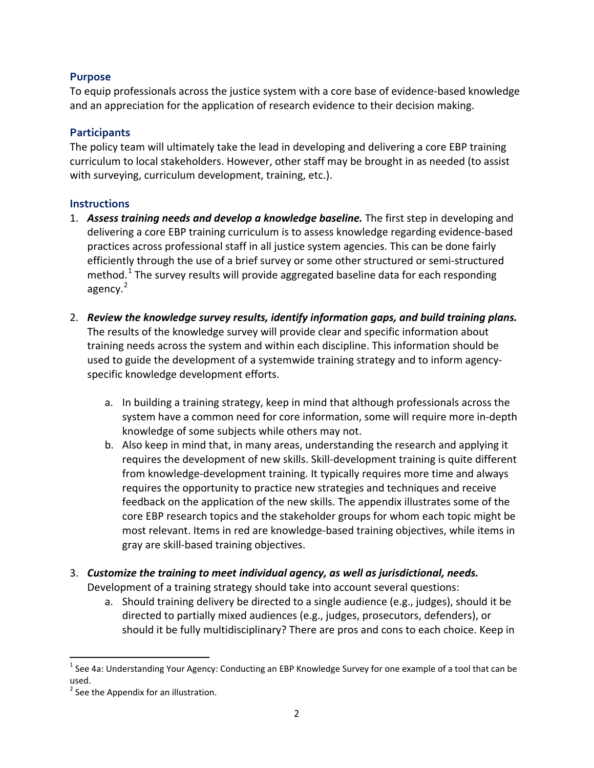#### **Purpose**

To equip professionals across the justice system with a core base of evidence-based knowledge and an appreciation for the application of research evidence to their decision making.

#### **Participants**

The policy team will ultimately take the lead in developing and delivering a core EBP training curriculum to local stakeholders. However, other staff may be brought in as needed (to assist with surveying, curriculum development, training, etc.).

#### **Instructions**

- 1. *Assess training needs and develop a knowledge baseline.* The first step in developing and delivering a core EBP training curriculum is to assess knowledge regarding evidence-based practices across professional staff in all justice system agencies. This can be done fairly efficiently through the use of a brief survey or some other structured or semi-structured method.<sup>[1](#page-0-0)</sup> The survey results will provide aggregated baseline data for each responding agency.<sup>[2](#page-1-0)</sup>
- 2. *Review the knowledge survey results, identify information gaps, and build training plans.* The results of the knowledge survey will provide clear and specific information about training needs across the system and within each discipline. This information should be used to guide the development of a systemwide training strategy and to inform agencyspecific knowledge development efforts.
	- a. In building a training strategy, keep in mind that although professionals across the system have a common need for core information, some will require more in-depth knowledge of some subjects while others may not.
	- b. Also keep in mind that, in many areas, understanding the research and applying it requires the development of new skills. Skill-development training is quite different from knowledge-development training. It typically requires more time and always requires the opportunity to practice new strategies and techniques and receive feedback on the application of the new skills. The appendix illustrates some of the core EBP research topics and the stakeholder groups for whom each topic might be most relevant. Items in red are knowledge-based training objectives, while items in gray are skill-based training objectives.
- 3. *Customize the training to meet individual agency, as well as jurisdictional, needs.* Development of a training strategy should take into account several questions:
	- a. Should training delivery be directed to a single audience (e.g., judges), should it be directed to partially mixed audiences (e.g., judges, prosecutors, defenders), or should it be fully multidisciplinary? There are pros and cons to each choice. Keep in

 $\overline{\phantom{a}}$ 

 $1$  See 4a: Understanding Your Agency: Conducting an EBP Knowledge Survey for one example of a tool that can be used.<br><sup>2</sup> See the Appendix for an illustration.

<span id="page-1-0"></span>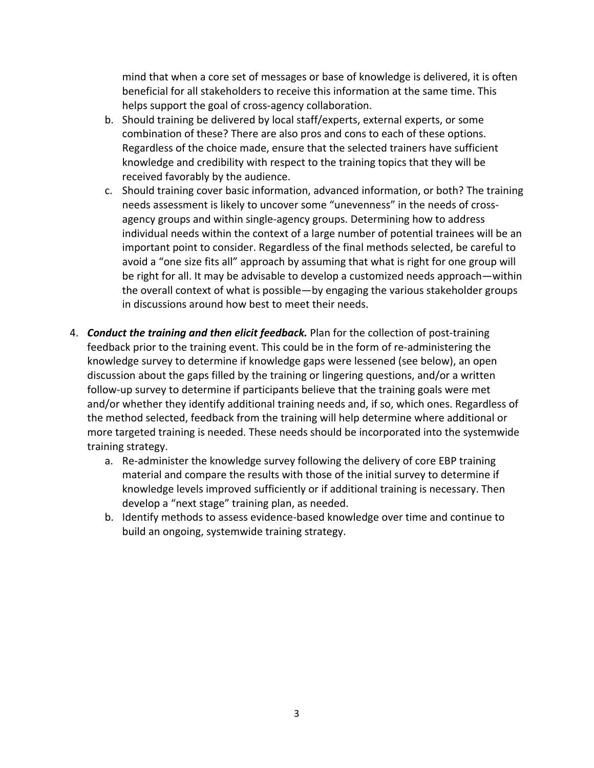mind that when a core set of messages or base of knowledge is delivered, it is often beneficial for all stakeholders to receive this information at the same time. This helps support the goal of cross-agency collaboration.

- b. Should training be delivered by local staff/experts, external experts, or some combination of these? There are also pros and cons to each of these options. Regardless of the choice made, ensure that the selected trainers have sufficient knowledge and credibility with respect to the training topics that they will be received favorably by the audience.
- c. Should training cover basic information, advanced information, or both? The training needs assessment is likely to uncover some "unevenness" in the needs of crossagency groups and within single-agency groups. Determining how to address individual needs within the context of a large number of potential trainees will be an important point to consider. Regardless of the final methods selected, be careful to avoid a "one size fits all" approach by assuming that what is right for one group will be right for all. It may be advisable to develop a customized needs approach—within the overall context of what is possible—by engaging the various stakeholder groups in discussions around how best to meet their needs.
- 4. *Conduct the training and then elicit feedback.* Plan for the collection of post-training feedback prior to the training event. This could be in the form of re-administering the knowledge survey to determine if knowledge gaps were lessened (see below), an open discussion about the gaps filled by the training or lingering questions, and/or a written follow-up survey to determine if participants believe that the training goals were met and/or whether they identify additional training needs and, if so, which ones. Regardless of the method selected, feedback from the training will help determine where additional or more targeted training is needed. These needs should be incorporated into the systemwide training strategy.
	- a. Re-administer the knowledge survey following the delivery of core EBP training material and compare the results with those of the initial survey to determine if knowledge levels improved sufficiently or if additional training is necessary. Then develop a "next stage" training plan, as needed.
	- b. Identify methods to assess evidence-based knowledge over time and continue to build an ongoing, systemwide training strategy.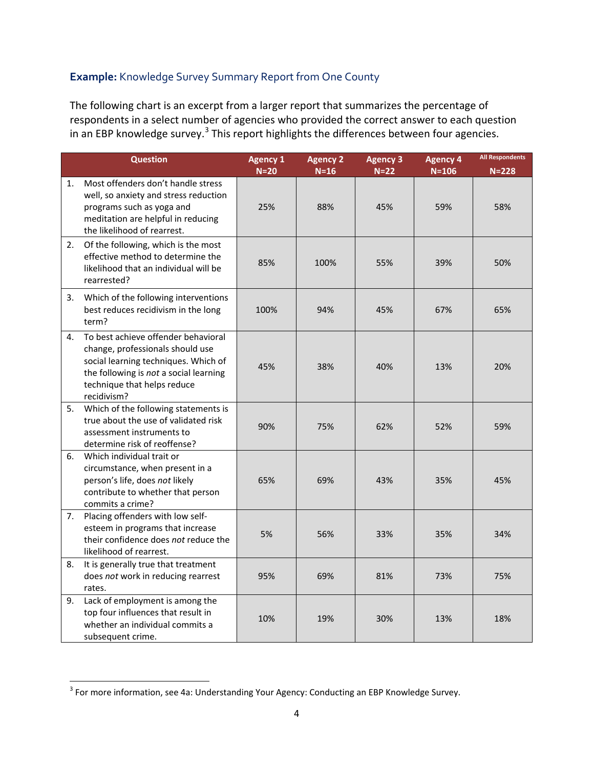### **Example:** Knowledge Survey Summary Report from One County

The following chart is an excerpt from a larger report that summarizes the percentage of respondents in a select number of agencies who provided the correct answer to each question in an EBP knowledge survey.<sup>[3](#page-1-0)</sup> This report highlights the differences between four agencies.

|    | <b>Question</b>                                                                                                                                                                                         | <b>Agency 1</b><br>$N=20$ | <b>Agency 2</b><br>$N=16$ | <b>Agency 3</b><br>$N=22$ | <b>Agency 4</b><br>$N = 106$ | <b>All Respondents</b><br>$N = 228$ |
|----|---------------------------------------------------------------------------------------------------------------------------------------------------------------------------------------------------------|---------------------------|---------------------------|---------------------------|------------------------------|-------------------------------------|
| 1. | Most offenders don't handle stress<br>well, so anxiety and stress reduction<br>programs such as yoga and<br>meditation are helpful in reducing<br>the likelihood of rearrest.                           | 25%                       | 88%                       | 45%                       | 59%                          | 58%                                 |
| 2. | Of the following, which is the most<br>effective method to determine the<br>likelihood that an individual will be<br>rearrested?                                                                        | 85%                       | 100%                      | 55%                       | 39%                          | 50%                                 |
| 3. | Which of the following interventions<br>best reduces recidivism in the long<br>term?                                                                                                                    | 100%                      | 94%                       | 45%                       | 67%                          | 65%                                 |
| 4. | To best achieve offender behavioral<br>change, professionals should use<br>social learning techniques. Which of<br>the following is not a social learning<br>technique that helps reduce<br>recidivism? | 45%                       | 38%                       | 40%                       | 13%                          | 20%                                 |
| 5. | Which of the following statements is<br>true about the use of validated risk<br>assessment instruments to<br>determine risk of reoffense?                                                               | 90%                       | 75%                       | 62%                       | 52%                          | 59%                                 |
| 6. | Which individual trait or<br>circumstance, when present in a<br>person's life, does not likely<br>contribute to whether that person<br>commits a crime?                                                 | 65%                       | 69%                       | 43%                       | 35%                          | 45%                                 |
| 7. | Placing offenders with low self-<br>esteem in programs that increase<br>their confidence does not reduce the<br>likelihood of rearrest.                                                                 | 5%                        | 56%                       | 33%                       | 35%                          | 34%                                 |
| 8. | It is generally true that treatment<br>does not work in reducing rearrest<br>rates.                                                                                                                     | 95%                       | 69%                       | 81%                       | 73%                          | 75%                                 |
| 9. | Lack of employment is among the<br>top four influences that result in<br>whether an individual commits a<br>subsequent crime.                                                                           | 10%                       | 19%                       | 30%                       | 13%                          | 18%                                 |

<sup>&</sup>lt;sup>3</sup> For more information, see 4a: Understanding Your Agency: Conducting an EBP Knowledge Survey.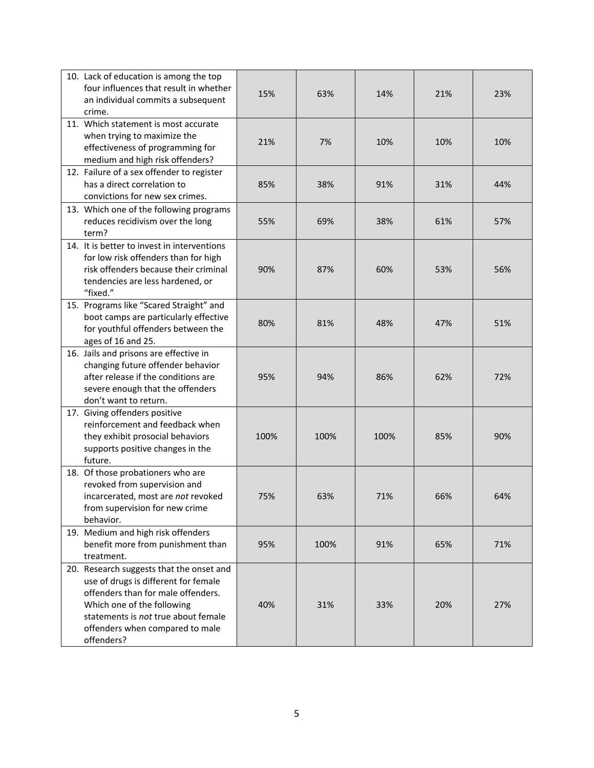| 10. Lack of education is among the top<br>four influences that result in whether<br>an individual commits a subsequent<br>crime.                                                                                                             | 15%  | 63%  | 14%  | 21% | 23% |
|----------------------------------------------------------------------------------------------------------------------------------------------------------------------------------------------------------------------------------------------|------|------|------|-----|-----|
| 11. Which statement is most accurate<br>when trying to maximize the<br>effectiveness of programming for<br>medium and high risk offenders?                                                                                                   | 21%  | 7%   | 10%  | 10% | 10% |
| 12. Failure of a sex offender to register<br>has a direct correlation to<br>convictions for new sex crimes.                                                                                                                                  | 85%  | 38%  | 91%  | 31% | 44% |
| 13. Which one of the following programs<br>reduces recidivism over the long<br>term?                                                                                                                                                         | 55%  | 69%  | 38%  | 61% | 57% |
| 14. It is better to invest in interventions<br>for low risk offenders than for high<br>risk offenders because their criminal<br>tendencies are less hardened, or<br>"fixed."                                                                 | 90%  | 87%  | 60%  | 53% | 56% |
| 15. Programs like "Scared Straight" and<br>boot camps are particularly effective<br>for youthful offenders between the<br>ages of 16 and 25.                                                                                                 | 80%  | 81%  | 48%  | 47% | 51% |
| 16. Jails and prisons are effective in<br>changing future offender behavior<br>after release if the conditions are<br>severe enough that the offenders<br>don't want to return.                                                              | 95%  | 94%  | 86%  | 62% | 72% |
| 17. Giving offenders positive<br>reinforcement and feedback when<br>they exhibit prosocial behaviors<br>supports positive changes in the<br>future.                                                                                          | 100% | 100% | 100% | 85% | 90% |
| 18. Of those probationers who are<br>revoked from supervision and<br>incarcerated, most are not revoked<br>from supervision for new crime<br>behavior.                                                                                       | 75%  | 63%  | 71%  | 66% | 64% |
| 19. Medium and high risk offenders<br>benefit more from punishment than<br>treatment.                                                                                                                                                        | 95%  | 100% | 91%  | 65% | 71% |
| 20. Research suggests that the onset and<br>use of drugs is different for female<br>offenders than for male offenders.<br>Which one of the following<br>statements is not true about female<br>offenders when compared to male<br>offenders? | 40%  | 31%  | 33%  | 20% | 27% |